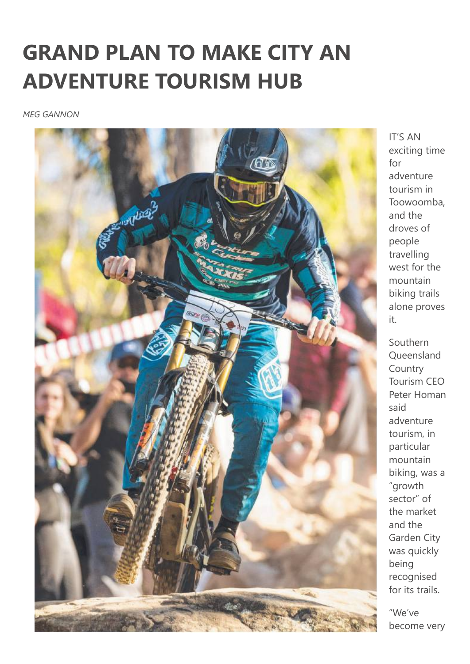## **GRAND PLAN TO MAKE CITY AN ADVENTURE TOURISM HUB**

*MEG GANNON*



IT'S AN exciting time for adventure tourism in Toowoomba, and the droves of people travelling west for the mountain biking trails alone proves it.

Southern Queensland Country Tourism CEO Peter Homan said adventure tourism, in particular mountain biking, was a "growth sector" of the market and the Garden City was quickly being recognised for its trails.

"We've become very